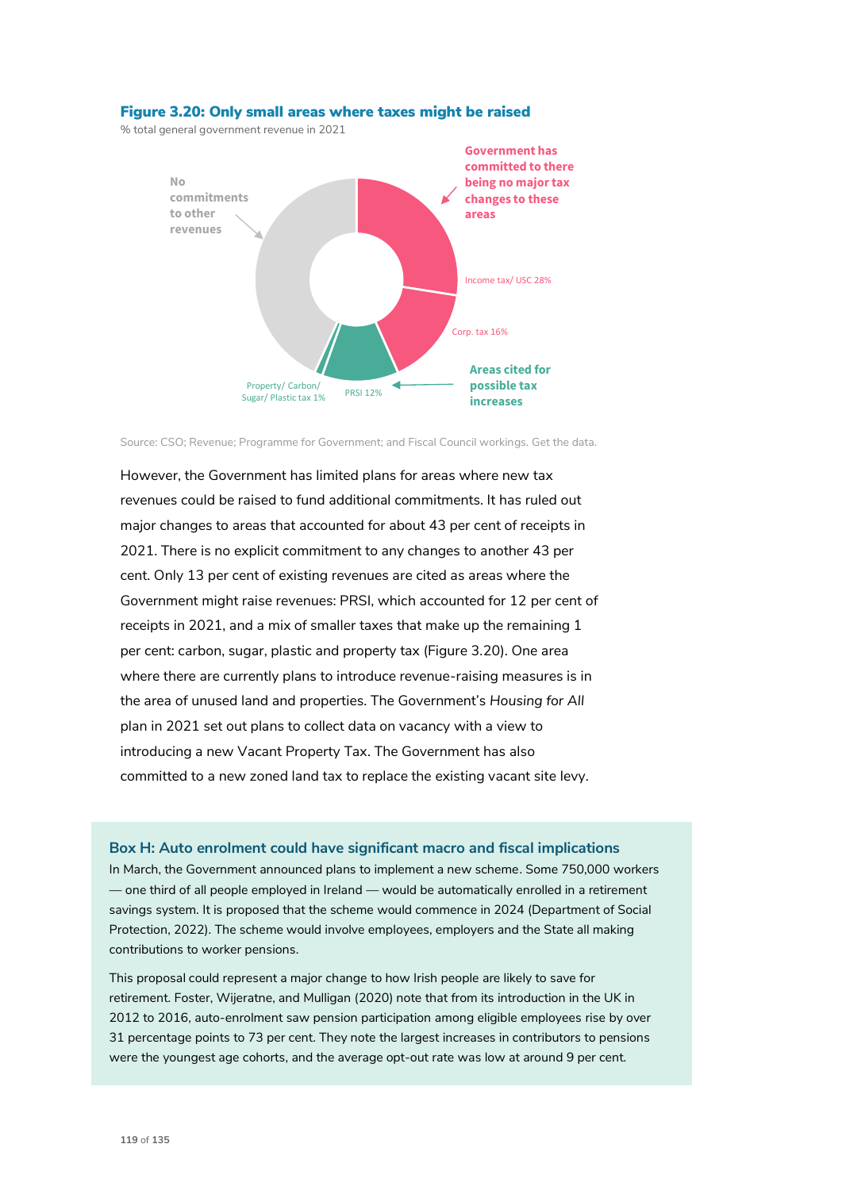

## Figure 3.20: Only small areas where taxes might be raised

% total general government revenue in 2021

Source: CSO; Revenue; Programme for Government; and Fiscal Council workings. Get the data.

However, the Government has limited plans for areas where new tax revenues could be raised to fund additional commitments. It has ruled out major changes to areas that accounted for about 43 per cent of receipts in 2021. There is no explicit commitment to any changes to another 43 per cent. Only 13 per cent of existing revenues are cited as areas where the Government might raise revenues: PRSI, which accounted for 12 per cent of receipts in 2021, and a mix of smaller taxes that make up the remaining 1 per cent: carbon, sugar, plastic and property tax (Figure 3.20). One area where there are currently plans to introduce revenue-raising measures is in the area of unused land and properties. The Government's *Housing for All* plan in 2021 set out plans to collect data on vacancy with a view to introducing a new Vacant Property Tax. The Government has also committed to a new zoned land tax to replace the existing vacant site levy.

### **Box H: Auto enrolment could have significant macro and fiscal implications**

In March, the Government announced plans to implement a new scheme. Some 750,000 workers — one third of all people employed in Ireland — would be automatically enrolled in a retirement savings system. It is proposed that the scheme would commence in 2024 (Department of Social Protection, 2022). The scheme would involve employees, employers and the State all making contributions to worker pensions.

This proposal could represent a major change to how Irish people are likely to save for retirement. Foster, Wijeratne, and Mulligan (2020) note that from its introduction in the UK in 2012 to 2016, auto-enrolment saw pension participation among eligible employees rise by over 31 percentage points to 73 per cent. They note the largest increases in contributors to pensions were the youngest age cohorts, and the average opt-out rate was low at around 9 per cent.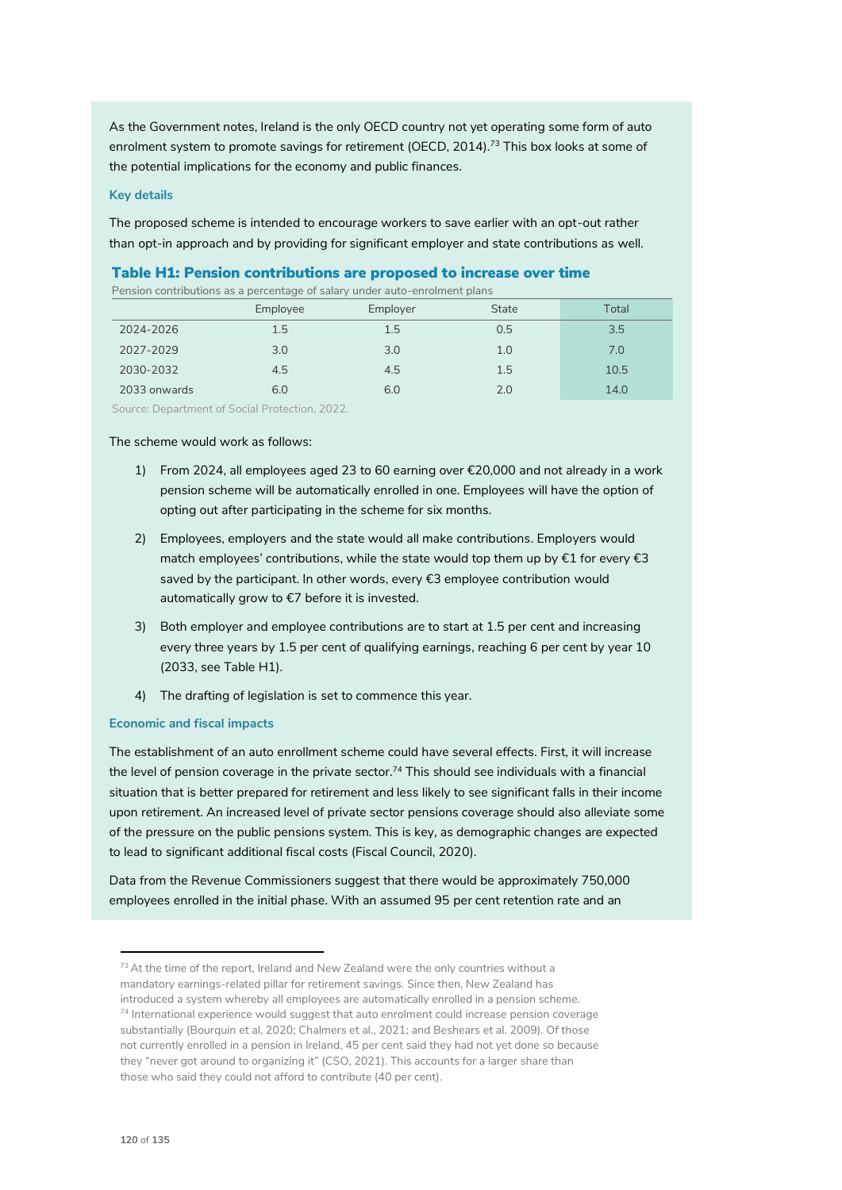As the Government notes, Ireland is the only OECD country not yet operating some form of auto enrolment system to promote savings for retirement (OECD, 2014).<sup>73</sup> This box looks at some of the potential implications for the economy and public finances.

### **Key details**

The proposed scheme is intended to encourage workers to save earlier with an opt-out rather than opt-in approach and by providing for significant employer and state contributions as well.

# Table H1: Pension contributions are proposed to increase over time

Pension contributions as a percentage of salary under auto-enrolment plans

|                                                | Employee | Employer | <b>State</b> | Total |
|------------------------------------------------|----------|----------|--------------|-------|
| 2024-2026                                      | 1.5      | 1.5      | 0.5          | 3.5   |
| 2027-2029                                      | 3.0      | 3.0      | 1.0          | 7.0   |
| 2030-2032                                      | 4.5      | 4.5      | 1.5          | 10.5  |
| 2033 onwards                                   | 6.0      | 6.0      | 2.0          | 14.0  |
| Source: Department of Social Protection, 2022. |          |          |              |       |

The scheme would work as follows:

- 1) From 2024, all employees aged 23 to 60 earning over €20,000 and not already in a work pension scheme will be automatically enrolled in one. Employees will have the option of opting out after participating in the scheme for six months.
- 2) Employees, employers and the state would all make contributions. Employers would match employees' contributions, while the state would top them up by €1 for every €3 saved by the participant. In other words, every €3 employee contribution would automatically grow to €7 before it is invested.
- 3) Both employer and employee contributions are to start at 1.5 per cent and increasing every three years by 1.5 per cent of qualifying earnings, reaching 6 per cent by year 10 (2033, see Table H1).
- 4) The drafting of legislation is set to commence this year.

#### **Economic and fiscal impacts**

The establishment of an auto enrollment scheme could have several effects. First, it will increase the level of pension coverage in the private sector.<sup>74</sup> This should see individuals with a financial situation that is better prepared for retirement and less likely to see significant falls in their income upon retirement. An increased level of private sector pensions coverage should also alleviate some of the pressure on the public pensions system. This is key, as demographic changes are expected to lead to significant additional fiscal costs (Fiscal Council, 2020).

Data from the Revenue Commissioners suggest that there would be approximately 750,000 employees enrolled in the initial phase. With an assumed 95 per cent retention rate and an

 $<sup>73</sup>$  At the time of the report, Ireland and New Zealand were the only countries without a</sup> mandatory earnings-related pillar for retirement savings. Since then, New Zealand has introduced a system whereby all employees are automatically enrolled in a pension scheme.  $74$  International experience would suggest that auto enrolment could increase pension coverage substantially (Bourquin et al, 2020; Chalmers et al., 2021; and Beshears et al. 2009). Of those not currently enrolled in a pension in Ireland, 45 per cent said they had not yet done so because they "never got around to organizing it" (CSO, 2021). This accounts for a larger share than those who said they could not afford to contribute (40 per cent).